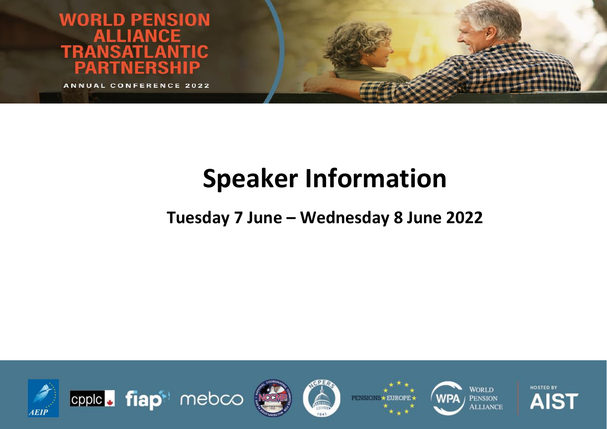**WORLD PENSION TRANSATI** NTIC A TNFRSHIP

**ANNUAL CONFERENCE 2022** 

# **Speaker Information**

### **Tuesday 7 June – Wednesday 8 June 2022**











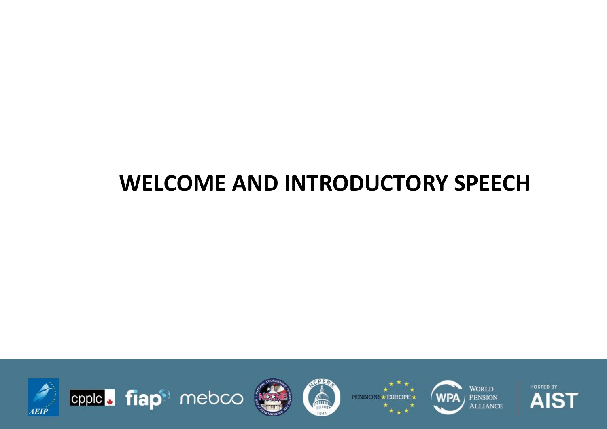## **WELCOME AND INTRODUCTORY SPEECH**













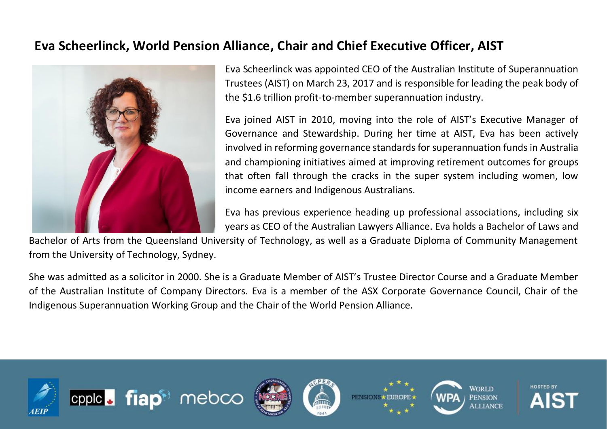#### **Eva Scheerlinck, World Pension Alliance, Chair and Chief Executive Officer, AIST**



Eva Scheerlinck was appointed CEO of the Australian Institute of Superannuation Trustees (AIST) on March 23, 2017 and is responsible for leading the peak body of the \$1.6 trillion profit-to-member superannuation industry.

Eva joined AIST in 2010, moving into the role of AIST's Executive Manager of Governance and Stewardship. During her time at AIST, Eva has been actively involved in reforming governance standards for superannuation funds in Australia and championing initiatives aimed at improving retirement outcomes for groups that often fall through the cracks in the super system including women, low income earners and Indigenous Australians.

Eva has previous experience heading up professional associations, including six years as CEO of the Australian Lawyers Alliance. Eva holds a Bachelor of Laws and

Bachelor of Arts from the Queensland University of Technology, as well as a Graduate Diploma of Community Management from the University of Technology, Sydney.

She was admitted as a solicitor in 2000. She is a Graduate Member of AIST's Trustee Director Course and a Graduate Member of the Australian Institute of Company Directors. Eva is a member of the ASX Corporate Governance Council, Chair of the Indigenous Superannuation Working Group and the Chair of the World Pension Alliance.

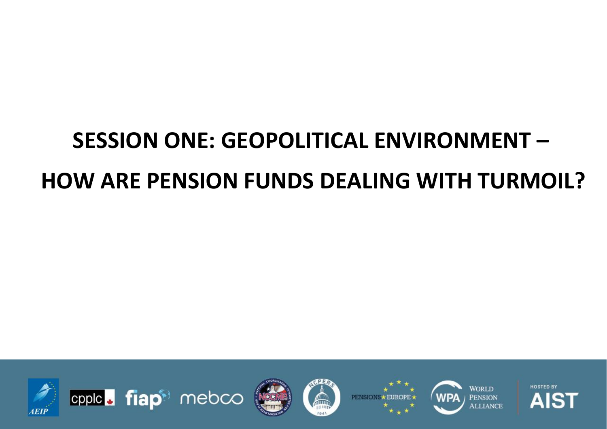# **SESSION ONE: GEOPOLITICAL ENVIRONMENT – HOW ARE PENSION FUNDS DEALING WITH TURMOIL?**













**HOSTED BY** AIST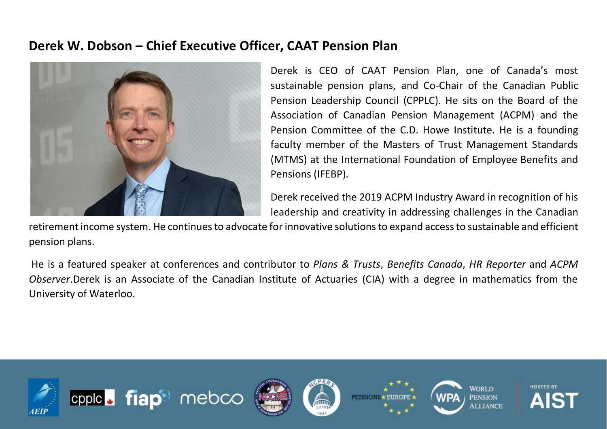#### **Derek W. Dobson – Chief Executive Officer, CAAT Pension Plan**



Derek is CEO of CAAT Pension Plan, one of Canada's most sustainable pension plans, and Co-Chair of the Canadian Public Pension Leadership Council (CPPLC). He sits on the Board of the Association of Canadian Pension Management (ACPM) and the Pension Committee of the C.D. Howe Institute. He is a founding faculty member of the Masters of Trust Management Standards (MTMS) at the International Foundation of Employee Benefits and Pensions (IFEBP).

Derek received the 2019 ACPM Industry Award in recognition of his leadership and creativity in addressing challenges in the Canadian

retirement income system. He continues to advocate forinnovative solutions to expand access to sustainable and efficient pension plans.

He is a featured speaker at conferences and contributor to *Plans & Trusts*, *Benefits Canada*, *HR Reporter* and *ACPM Observer*.Derek is an Associate of the Canadian Institute of Actuaries (CIA) with a degree in mathematics from the University of Waterloo.

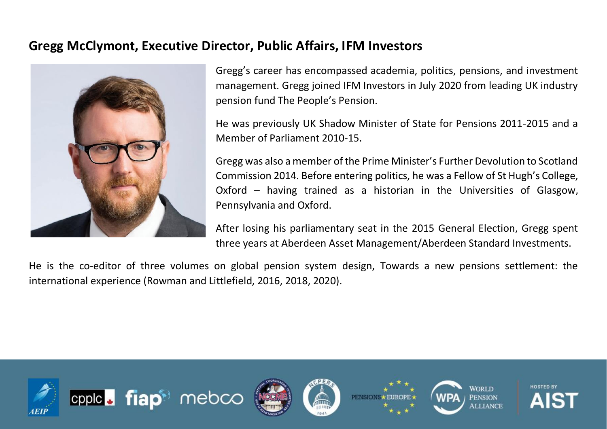#### **Gregg McClymont, Executive Director, Public Affairs, IFM Investors**



Gregg's career has encompassed academia, politics, pensions, and investment management. Gregg joined IFM Investors in July 2020 from leading UK industry pension fund The People's Pension.

He was previously UK Shadow Minister of State for Pensions 2011-2015 and a Member of Parliament 2010-15.

Gregg was also a member of the Prime Minister's Further Devolution to Scotland Commission 2014. Before entering politics, he was a Fellow of St Hugh's College, Oxford – having trained as a historian in the Universities of Glasgow, Pennsylvania and Oxford.

After losing his parliamentary seat in the 2015 General Election, Gregg spent three years at Aberdeen Asset Management/Aberdeen Standard Investments.

He is the co-editor of three volumes on global pension system design, Towards a new pensions settlement: the international experience (Rowman and Littlefield, 2016, 2018, 2020).











**HOSTED BY**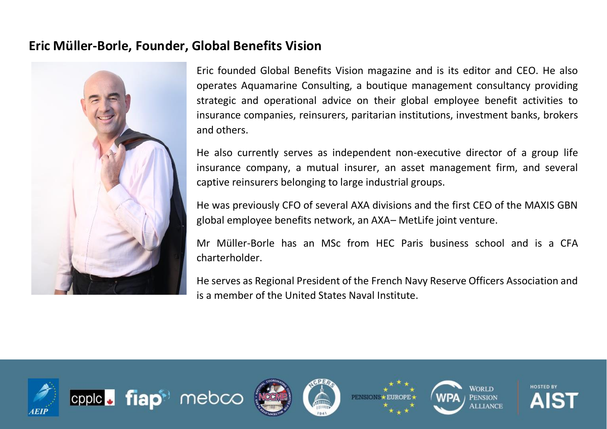#### **Eric Müller-Borle, Founder, Global Benefits Vision**



Eric founded Global Benefits Vision magazine and is its editor and CEO. He also operates Aquamarine Consulting, a boutique management consultancy providing strategic and operational advice on their global employee benefit activities to insurance companies, reinsurers, paritarian institutions, investment banks, brokers and others.

He also currently serves as independent non-executive director of a group life insurance company, a mutual insurer, an asset management firm, and several captive reinsurers belonging to large industrial groups.

He was previously CFO of several AXA divisions and the first CEO of the MAXIS GBN global employee benefits network, an AXA– MetLife joint venture.

Mr Müller-Borle has an MSc from HEC Paris business school and is a CFA charterholder.

He serves as Regional President of the French Navy Reserve Officers Association and is a member of the United States Naval Institute.

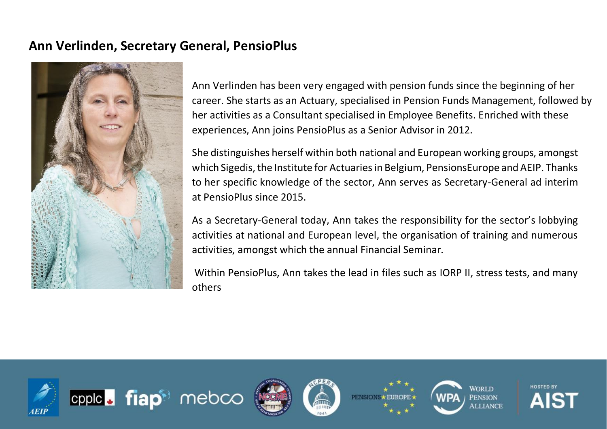#### **Ann Verlinden, Secretary General, PensioPlus**

cpple. fiap<sup>®</sup> mebco



Ann Verlinden has been very engaged with pension funds since the beginning of her career. She starts as an Actuary, specialised in Pension Funds Management, followed by her activities as a Consultant specialised in Employee Benefits. Enriched with these experiences, Ann joins PensioPlus as a Senior Advisor in 2012.

She distinguishes herself within both national and European working groups, amongst which Sigedis, the Institute for Actuaries in Belgium, PensionsEurope and AEIP. Thanks to her specific knowledge of the sector, Ann serves as Secretary-General ad interim at PensioPlus since 2015.

As a Secretary-General today, Ann takes the responsibility for the sector's lobbying activities at national and European level, the organisation of training and numerous activities, amongst which the annual Financial Seminar.

Within PensioPlus, Ann takes the lead in files such as IORP II, stress tests, and many others

**PENSIO** 

**HOSTED BY** 

AIST

**WORLD** 

**PENSION** 

**ILLIANCE** 

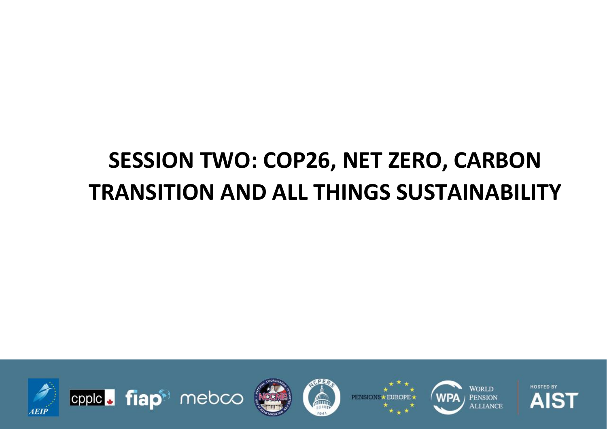## **SESSION TWO: COP26, NET ZERO, CARBON TRANSITION AND ALL THINGS SUSTAINABILITY**





**PENSIOI** 



**HOSTED BY** AIST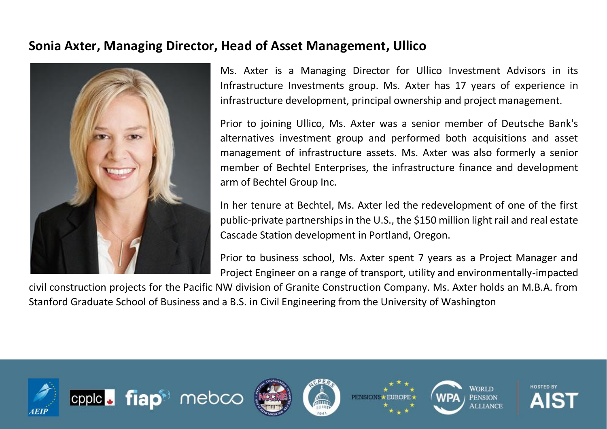#### **Sonia Axter, Managing Director, Head of Asset Management, Ullico**



Ms. Axter is a Managing Director for Ullico Investment Advisors in its Infrastructure Investments group. Ms. Axter has 17 years of experience in infrastructure development, principal ownership and project management.

Prior to joining Ullico, Ms. Axter was a senior member of Deutsche Bank's alternatives investment group and performed both acquisitions and asset management of infrastructure assets. Ms. Axter was also formerly a senior member of Bechtel Enterprises, the infrastructure finance and development arm of Bechtel Group Inc.

In her tenure at Bechtel, Ms. Axter led the redevelopment of one of the first public-private partnerships in the U.S., the \$150 million light rail and real estate Cascade Station development in Portland, Oregon.

Prior to business school, Ms. Axter spent 7 years as a Project Manager and Project Engineer on a range of transport, utility and environmentally-impacted

civil construction projects for the Pacific NW division of Granite Construction Company. Ms. Axter holds an M.B.A. from Stanford Graduate School of Business and a B.S. in Civil Engineering from the University of Washington

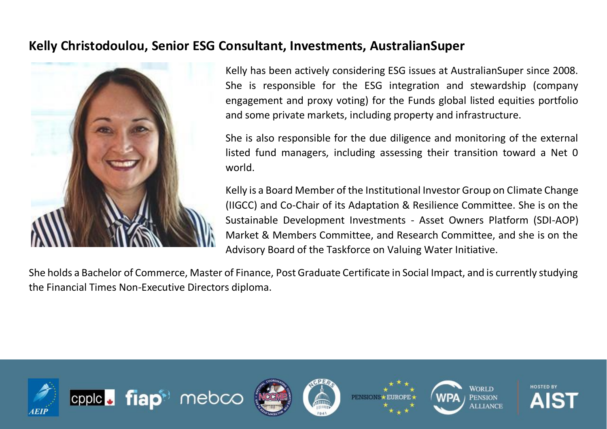#### **Kelly Christodoulou, Senior ESG Consultant, Investments, AustralianSuper**



Kelly has been actively considering ESG issues at AustralianSuper since 2008. She is responsible for the ESG integration and stewardship (company engagement and proxy voting) for the Funds global listed equities portfolio and some private markets, including property and infrastructure.

She is also responsible for the due diligence and monitoring of the external listed fund managers, including assessing their transition toward a Net 0 world.

Kelly is a Board Member of the Institutional Investor Group on Climate Change (IIGCC) and Co-Chair of its Adaptation & Resilience Committee. She is on the Sustainable Development Investments - Asset Owners Platform (SDI-AOP) Market & Members Committee, and Research Committee, and she is on the Advisory Board of the Taskforce on Valuing Water Initiative.

She holds a Bachelor of Commerce, Master of Finance, Post Graduate Certificate in Social Impact, and is currently studying the Financial Times Non-Executive Directors diploma.











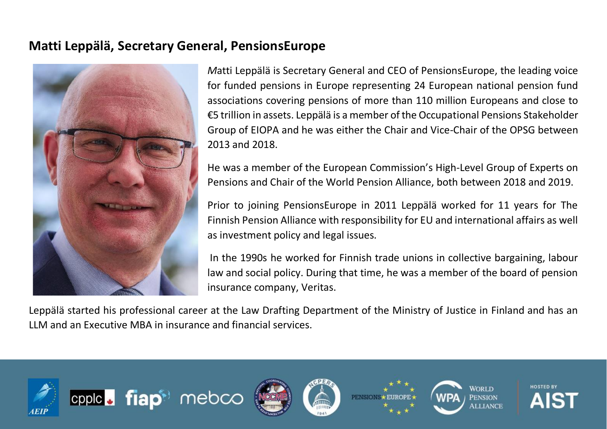#### **Matti Leppälä, Secretary General, PensionsEurope**



*M*atti Leppälä is Secretary General and CEO of PensionsEurope, the leading voice for funded pensions in Europe representing 24 European national pension fund associations covering pensions of more than 110 million Europeans and close to €5 trillion in assets. Leppälä is a member of the Occupational Pensions Stakeholder Group of EIOPA and he was either the Chair and Vice-Chair of the OPSG between 2013 and 2018.

He was a member of the European Commission's High-Level Group of Experts on Pensions and Chair of the World Pension Alliance, both between 2018 and 2019.

Prior to joining PensionsEurope in 2011 Leppälä worked for 11 years for The Finnish Pension Alliance with responsibility for EU and international affairs as well as investment policy and legal issues.

In the 1990s he worked for Finnish trade unions in collective bargaining, labour law and social policy. During that time, he was a member of the board of pension insurance company, Veritas.

Leppälä started his professional career at the Law Drafting Department of the Ministry of Justice in Finland and has an LLM and an Executive MBA in insurance and financial services.

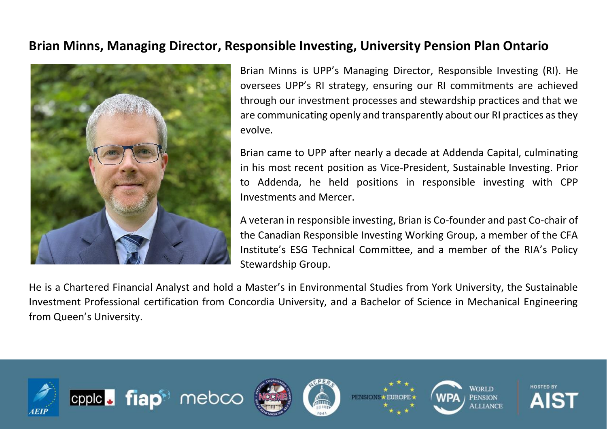#### **Brian Minns, Managing Director, Responsible Investing, University Pension Plan Ontario**



Brian Minns is UPP's Managing Director, Responsible Investing (RI). He oversees UPP's RI strategy, ensuring our RI commitments are achieved through our investment processes and stewardship practices and that we are communicating openly and transparently about our RI practices as they evolve.

Brian came to UPP after nearly a decade at Addenda Capital, culminating in his most recent position as Vice-President, Sustainable Investing. Prior to Addenda, he held positions in responsible investing with CPP Investments and Mercer.

A veteran in responsible investing, Brian is Co-founder and past Co-chair of the Canadian Responsible Investing Working Group, a member of the CFA Institute's ESG Technical Committee, and a member of the RIA's Policy Stewardship Group.

He is a Chartered Financial Analyst and hold a Master's in Environmental Studies from York University, the Sustainable Investment Professional certification from Concordia University, and a Bachelor of Science in Mechanical Engineering from Queen's University.

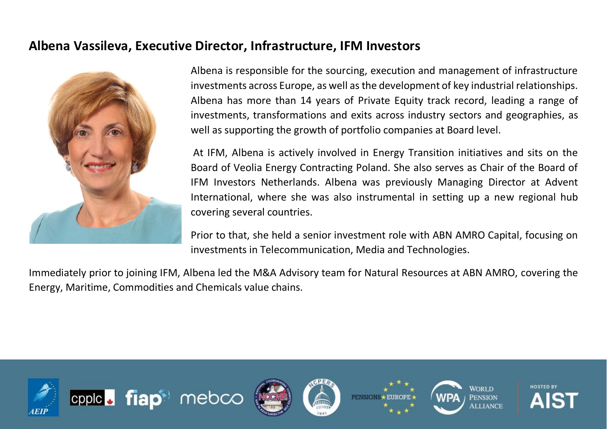#### **Albena Vassileva, Executive Director, Infrastructure, IFM Investors**



Albena is responsible for the sourcing, execution and management of infrastructure investments across Europe, as well as the development of key industrial relationships. Albena has more than 14 years of Private Equity track record, leading a range of investments, transformations and exits across industry sectors and geographies, as well as supporting the growth of portfolio companies at Board level.

At IFM, Albena is actively involved in Energy Transition initiatives and sits on the Board of Veolia Energy Contracting Poland. She also serves as Chair of the Board of IFM Investors Netherlands. Albena was previously Managing Director at Advent International, where she was also instrumental in setting up a new regional hub covering several countries.

Prior to that, she held a senior investment role with ABN AMRO Capital, focusing on investments in Telecommunication, Media and Technologies.

Immediately prior to joining IFM, Albena led the M&A Advisory team for Natural Resources at ABN AMRO, covering the Energy, Maritime, Commodities and Chemicals value chains.











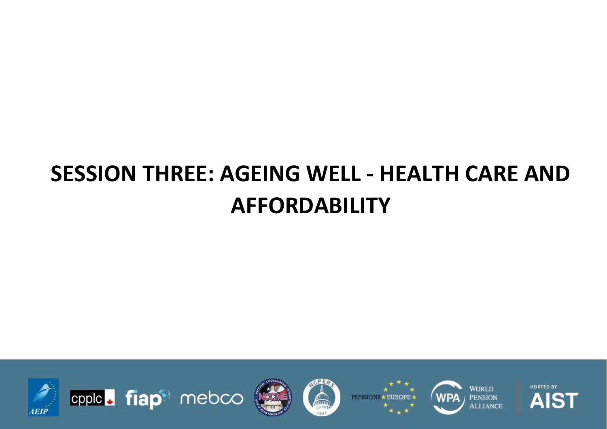## **SESSION THREE: AGEING WELL - HEALTH CARE AND AFFORDABILITY**













**HOSTED BY** AIST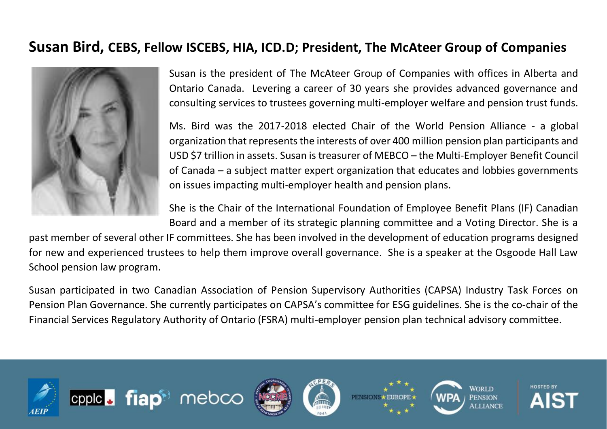#### **Susan Bird, CEBS, Fellow ISCEBS, HIA, ICD.D; President, The McAteer Group of Companies**



Susan is the president of The McAteer Group of Companies with offices in Alberta and Ontario Canada. Levering a career of 30 years she provides advanced governance and consulting services to trustees governing multi-employer welfare and pension trust funds.

Ms. Bird was the 2017-2018 elected Chair of the World Pension Alliance - a global organization that represents the interests of over 400 million pension plan participants and USD \$7 trillion in assets. Susan is treasurer of MEBCO – the Multi-Employer Benefit Council of Canada – a subject matter expert organization that educates and lobbies governments on issues impacting multi-employer health and pension plans.

She is the Chair of the International Foundation of Employee Benefit Plans (IF) Canadian Board and a member of its strategic planning committee and a Voting Director. She is a

past member of several other IF committees. She has been involved in the development of education programs designed for new and experienced trustees to help them improve overall governance. She is a speaker at the Osgoode Hall Law School pension law program.

Susan participated in two Canadian Association of Pension Supervisory Authorities (CAPSA) Industry Task Forces on Pension Plan Governance. She currently participates on CAPSA's committee for ESG guidelines. She is the co-chair of the Financial Services Regulatory Authority of Ontario (FSRA) multi-employer pension plan technical advisory committee.

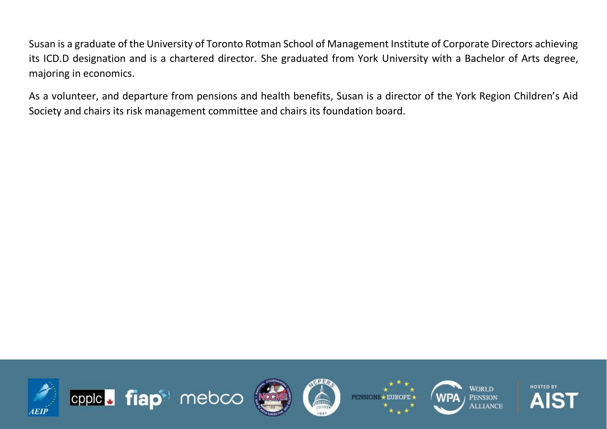Susan is a graduate of the University of Toronto Rotman School of Management Institute of Corporate Directors achieving its ICD.D designation and is a chartered director. She graduated from York University with a Bachelor of Arts degree, majoring in economics.

As a volunteer, and departure from pensions and health benefits, Susan is a director of the York Region Children's Aid Society and chairs its risk management committee and chairs its foundation board.

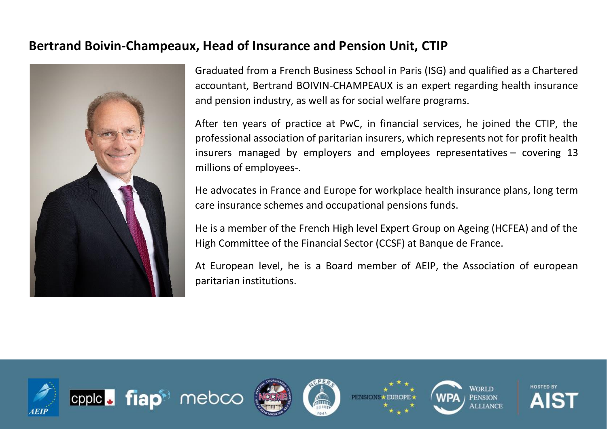#### **Bertrand Boivin-Champeaux, Head of Insurance and Pension Unit, CTIP**



Graduated from a French Business School in Paris (ISG) and qualified as a Chartered accountant, Bertrand BOIVIN-CHAMPEAUX is an expert regarding health insurance and pension industry, as well as for social welfare programs.

After ten years of practice at PwC, in financial services, he joined the CTIP, the professional association of paritarian insurers, which represents not for profit health insurers managed by employers and employees representatives – covering 13 millions of employees-.

He advocates in France and Europe for workplace health insurance plans, long term care insurance schemes and occupational pensions funds.

He is a member of the French High level Expert Group on Ageing (HCFEA) and of the High Committee of the Financial Sector (CCSF) at Banque de France.

At European level, he is a Board member of AEIP, the Association of european paritarian institutions.

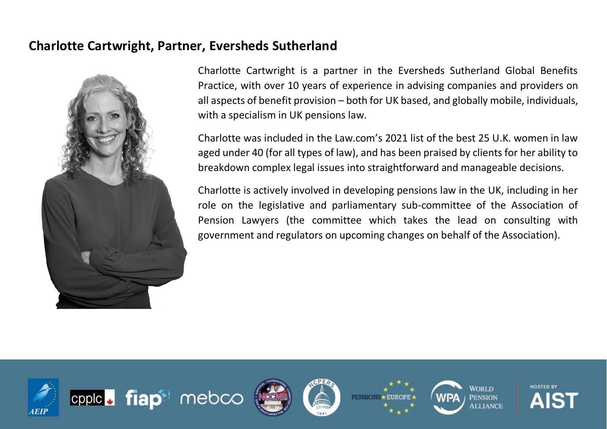#### **Charlotte Cartwright, Partner, Eversheds Sutherland**



cpple. fiap<sup>®</sup> mebco

Charlotte Cartwright is a partner in the Eversheds Sutherland Global Benefits Practice, with over 10 years of experience in advising companies and providers on all aspects of benefit provision – both for UK based, and globally mobile, individuals, with a specialism in UK pensions law.

Charlotte was included in the Law.com's 2021 list of the best 25 U.K. women in law aged under 40 (for all types of law), and has been praised by clients for her ability to breakdown complex legal issues into straightforward and manageable decisions.

Charlotte is actively involved in developing pensions law in the UK, including in her role on the legislative and parliamentary sub-committee of the Association of Pension Lawyers (the committee which takes the lead on consulting with government and regulators on upcoming changes on behalf of the Association).

**PENSION** 

**HOSTED BY** 

AIS

**WORLD** 

**PENSION** 

**MLIJANCE** 

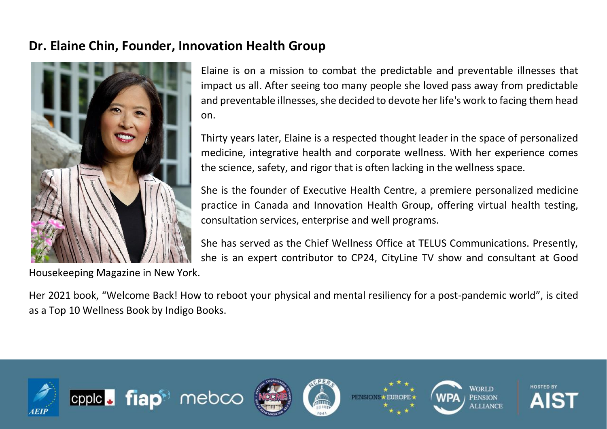#### **Dr. Elaine Chin, Founder, Innovation Health Group**



Elaine is on a mission to combat the predictable and preventable illnesses that impact us all. After seeing too many people she loved pass away from predictable and preventable illnesses, she decided to devote her life's work to facing them head on.

Thirty years later, Elaine is a respected thought leader in the space of personalized medicine, integrative health and corporate wellness. With her experience comes the science, safety, and rigor that is often lacking in the wellness space.

She is the founder of Executive Health Centre, a premiere personalized medicine practice in Canada and Innovation Health Group, offering virtual health testing, consultation services, enterprise and well programs.

She has served as the Chief Wellness Office at TELUS Communications. Presently, she is an expert contributor to CP24, CityLine TV show and consultant at Good

Housekeeping Magazine in New York.

Her 2021 book, "Welcome Back! How to reboot your physical and mental resiliency for a post-pandemic world", is cited as a Top 10 Wellness Book by Indigo Books.

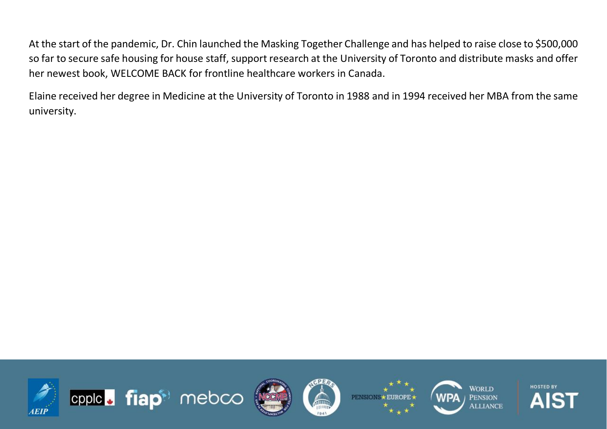At the start of the pandemic, Dr. Chin launched the Masking Together Challenge and has helped to raise close to \$500,000 so far to secure safe housing for house staff, support research at the University of Toronto and distribute masks and offer her newest book, WELCOME BACK for frontline healthcare workers in Canada.

Elaine received her degree in Medicine at the University of Toronto in 1988 and in 1994 received her MBA from the same university.

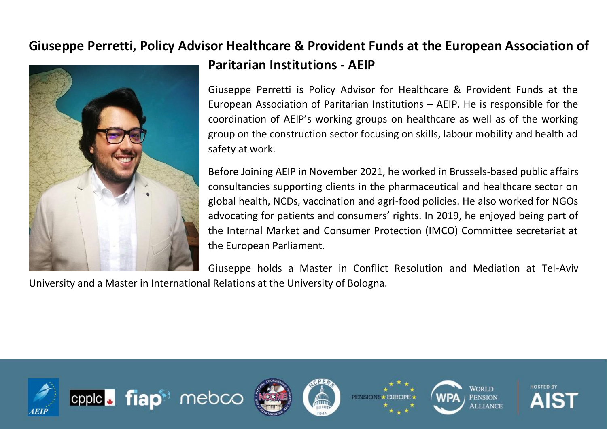## **Giuseppe Perretti, Policy Advisor Healthcare & Provident Funds at the European Association of**



### **Paritarian Institutions - AEIP**

Giuseppe Perretti is Policy Advisor for Healthcare & Provident Funds at the European Association of Paritarian Institutions – AEIP. He is responsible for the coordination of AEIP's working groups on healthcare as well as of the working group on the construction sector focusing on skills, labour mobility and health ad safety at work.

Before Joining AEIP in November 2021, he worked in Brussels-based public affairs consultancies supporting clients in the pharmaceutical and healthcare sector on global health, NCDs, vaccination and agri-food policies. He also worked for NGOs advocating for patients and consumers' rights. In 2019, he enjoyed being part of the Internal Market and Consumer Protection (IMCO) Committee secretariat at the European Parliament.

Giuseppe holds a Master in Conflict Resolution and Mediation at Tel-Aviv

**PENSION** 

**HOSTED BY** 

**WORLD** 

**PENSION MLIANCE** 

University and a Master in International Relations at the University of Bologna.

cpplc. fiap<sup>®</sup> mebco

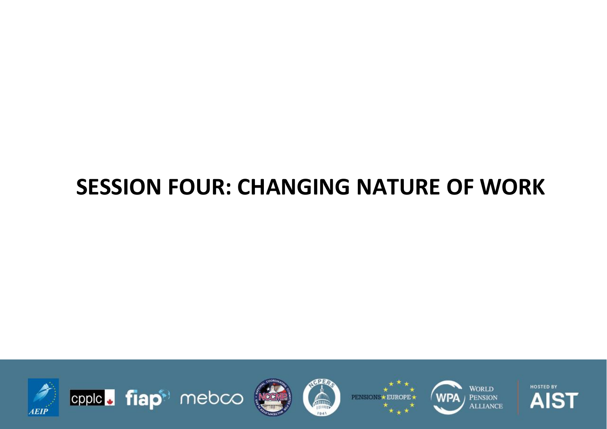## **SESSION FOUR: CHANGING NATURE OF WORK**













**HOSTED BY** AIST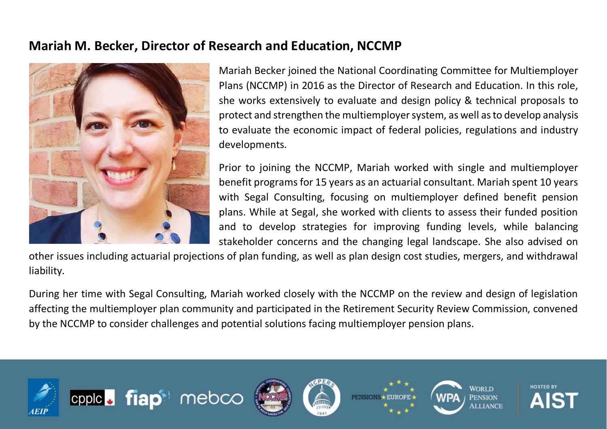#### **Mariah M. Becker, Director of Research and Education, NCCMP**



Mariah Becker joined the National Coordinating Committee for Multiemployer Plans (NCCMP) in 2016 as the Director of Research and Education. In this role, she works extensively to evaluate and design policy & technical proposals to protect and strengthen the multiemployer system, as well as to develop analysis to evaluate the economic impact of federal policies, regulations and industry developments.

Prior to joining the NCCMP, Mariah worked with single and multiemployer benefit programs for 15 years as an actuarial consultant. Mariah spent 10 years with Segal Consulting, focusing on multiemployer defined benefit pension plans. While at Segal, she worked with clients to assess their funded position and to develop strategies for improving funding levels, while balancing stakeholder concerns and the changing legal landscape. She also advised on

other issues including actuarial projections of plan funding, as well as plan design cost studies, mergers, and withdrawal liability.

During her time with Segal Consulting, Mariah worked closely with the NCCMP on the review and design of legislation affecting the multiemployer plan community and participated in the Retirement Security Review Commission, convened by the NCCMP to consider challenges and potential solutions facing multiemployer pension plans.

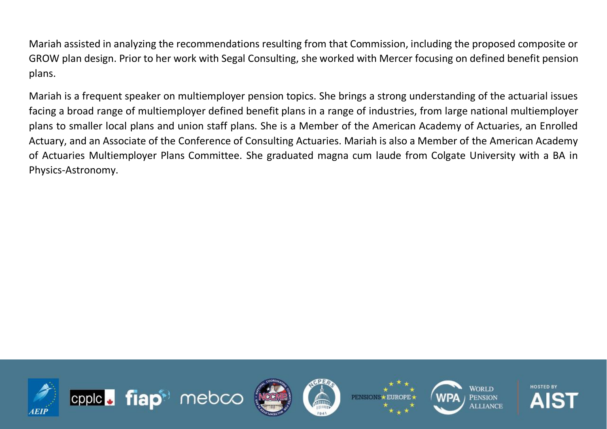Mariah assisted in analyzing the recommendations resulting from that Commission, including the proposed composite or GROW plan design. Prior to her work with Segal Consulting, she worked with Mercer focusing on defined benefit pension plans.

Mariah is a frequent speaker on multiemployer pension topics. She brings a strong understanding of the actuarial issues facing a broad range of multiemployer defined benefit plans in a range of industries, from large national multiemployer plans to smaller local plans and union staff plans. She is a Member of the American Academy of Actuaries, an Enrolled Actuary, and an Associate of the Conference of Consulting Actuaries. Mariah is also a Member of the American Academy of Actuaries Multiemployer Plans Committee. She graduated magna cum laude from Colgate University with a BA in Physics-Astronomy.

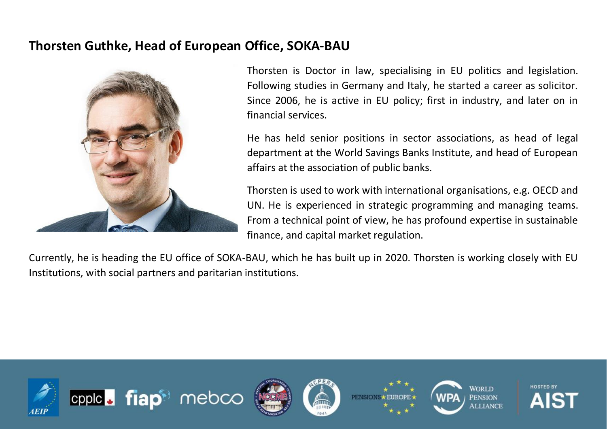#### **Thorsten Guthke, Head of European Office, SOKA-BAU**



Thorsten is Doctor in law, specialising in EU politics and legislation. Following studies in Germany and Italy, he started a career as solicitor. Since 2006, he is active in EU policy; first in industry, and later on in financial services.

He has held senior positions in sector associations, as head of legal department at the World Savings Banks Institute, and head of European affairs at the association of public banks.

Thorsten is used to work with international organisations, e.g. OECD and UN. He is experienced in strategic programming and managing teams. From a technical point of view, he has profound expertise in sustainable finance, and capital market regulation.

Currently, he is heading the EU office of SOKA-BAU, which he has built up in 2020. Thorsten is working closely with EU Institutions, with social partners and paritarian institutions.











**HOSTED BY**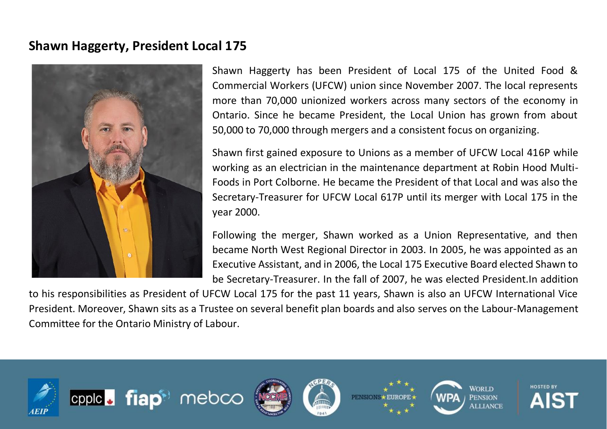#### **Shawn Haggerty, President Local 175**



Shawn Haggerty has been President of Local 175 of the United Food & Commercial Workers (UFCW) union since November 2007. The local represents more than 70,000 unionized workers across many sectors of the economy in Ontario. Since he became President, the Local Union has grown from about 50,000 to 70,000 through mergers and a consistent focus on organizing.

Shawn first gained exposure to Unions as a member of UFCW Local 416P while working as an electrician in the maintenance department at Robin Hood Multi-Foods in Port Colborne. He became the President of that Local and was also the Secretary-Treasurer for UFCW Local 617P until its merger with Local 175 in the year 2000.

Following the merger, Shawn worked as a Union Representative, and then became North West Regional Director in 2003. In 2005, he was appointed as an Executive Assistant, and in 2006, the Local 175 Executive Board elected Shawn to be Secretary-Treasurer. In the fall of 2007, he was elected President.In addition

to his responsibilities as President of UFCW Local 175 for the past 11 years, Shawn is also an UFCW International Vice President. Moreover, Shawn sits as a Trustee on several benefit plan boards and also serves on the Labour-Management Committee for the Ontario Ministry of Labour.

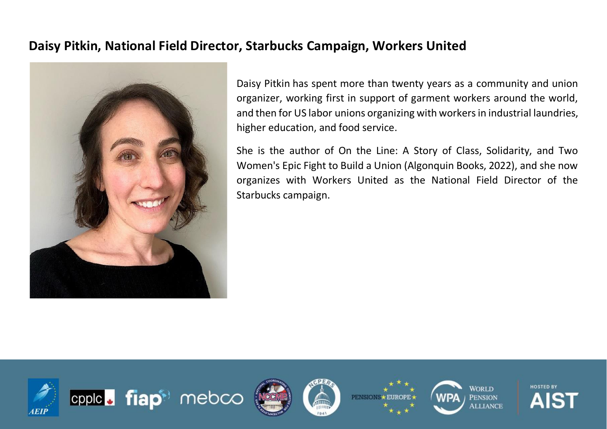#### **Daisy Pitkin, National Field Director, Starbucks Campaign, Workers United**



Daisy Pitkin has spent more than twenty years as a community and union organizer, working first in support of garment workers around the world, and then for US labor unions organizing with workers in industrial laundries, higher education, and food service.

She is the author of On the Line: A Story of Class, Solidarity, and Two Women's Epic Fight to Build a Union (Algonquin Books, 2022), and she now organizes with Workers United as the National Field Director of the Starbucks campaign.

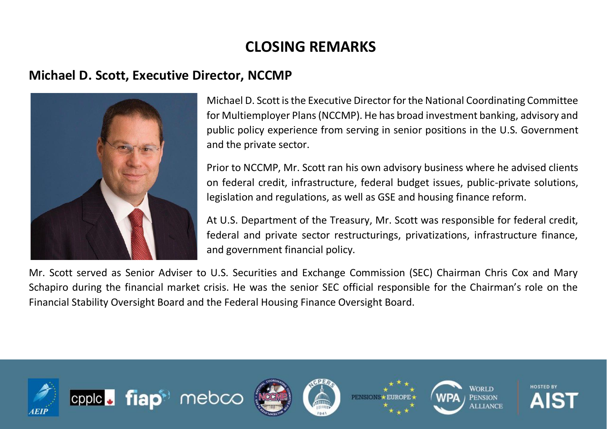### **CLOSING REMARKS**

#### **Michael D. Scott, Executive Director, NCCMP**



Michael D. Scott is the Executive Director for the National Coordinating Committee for Multiemployer Plans (NCCMP). He has broad investment banking, advisory and public policy experience from serving in senior positions in the U.S. Government and the private sector.

Prior to NCCMP, Mr. Scott ran his own advisory business where he advised clients on federal credit, infrastructure, federal budget issues, public-private solutions, legislation and regulations, as well as GSE and housing finance reform.

At U.S. Department of the Treasury, Mr. Scott was responsible for federal credit, federal and private sector restructurings, privatizations, infrastructure finance, and government financial policy.

Mr. Scott served as Senior Adviser to U.S. Securities and Exchange Commission (SEC) Chairman Chris Cox and Mary Schapiro during the financial market crisis. He was the senior SEC official responsible for the Chairman's role on the Financial Stability Oversight Board and the Federal Housing Finance Oversight Board.

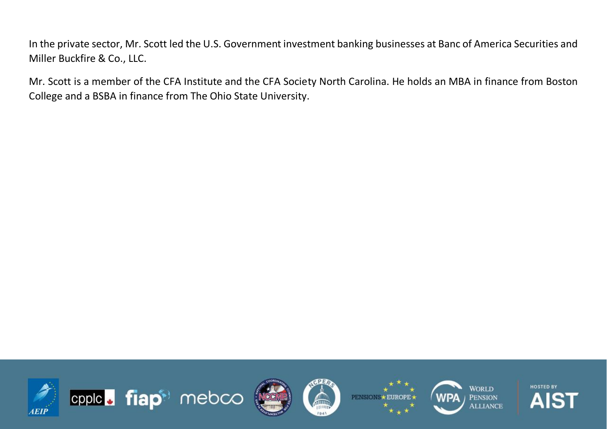In the private sector, Mr. Scott led the U.S. Government investment banking businesses at Banc of America Securities and Miller Buckfire & Co., LLC.

Mr. Scott is a member of the CFA Institute and the CFA Society North Carolina. He holds an MBA in finance from Boston College and a BSBA in finance from The Ohio State University.